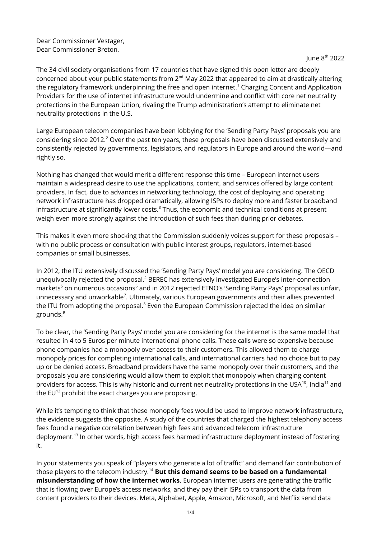Dear Commissioner Vestager, Dear Commissioner Breton,

<span id="page-0-0"></span>June 8<sup>th</sup> 2022

The 34 civil society organisations from 17 countries that have signed this open letter are deeply concerned about your public statements from 2<sup>nd</sup> May 2022 that appeared to aim at drastically altering the regulatory framework underpinning the free and open internet. $^1$  $^1$  Charging Content and Application Providers for the use of internet infrastructure would undermine and conflict with core net neutrality protections in the European Union, rivaling the Trump administration's attempt to eliminate net neutrality protections in the U.S.

<span id="page-0-1"></span>Large European telecom companies have been lobbying for the 'Sending Party Pays' proposals you are considering since [2](#page-3-1)012.<sup>2</sup> Over the past ten years, these proposals have been discussed extensively and consistently rejected by governments, legislators, and regulators in Europe and around the world—and rightly so.

Nothing has changed that would merit a different response this time – European internet users maintain a widespread desire to use the applications, content, and services offered by large content providers. In fact, due to advances in networking technology, the cost of deploying and operating network infrastructure has dropped dramatically, allowing ISPs to deploy more and faster broadband infrastructure at significantly lower costs. $^3$  $^3$  Thus, the economic and technical conditions at present weigh even more strongly against the introduction of such fees than during prior debates.

<span id="page-0-2"></span>This makes it even more shocking that the Commission suddenly voices support for these proposals – with no public process or consultation with public interest groups, regulators, internet-based companies or small businesses.

<span id="page-0-6"></span><span id="page-0-5"></span><span id="page-0-4"></span><span id="page-0-3"></span>In 2012, the ITU extensively discussed the 'Sending Party Pays' model you are considering. The OECD unequivocally rejected the proposal.<sup>[4](#page-3-3)</sup> BEREC has extensively investigated Europe's inter-connection markets<sup>[5](#page-3-4)</sup> on numerous occasions<sup>[6](#page-3-5)</sup> and in 2012 rejected ETNO's 'Sending Party Pays' proposal as unfair, unnecessary and unworkable<sup>[7](#page-3-6)</sup>. Ultimately, various European governments and their allies prevented the ITU from adopting the proposal.<sup>[8](#page-3-7)</sup> Even the European Commission rejected the idea on similar grounds.<sup>[9](#page-3-8)</sup>

<span id="page-0-8"></span><span id="page-0-7"></span>To be clear, the 'Sending Party Pays' model you are considering for the internet is the same model that resulted in 4 to 5 Euros per minute international phone calls. These calls were so expensive because phone companies had a monopoly over access to their customers. This allowed them to charge monopoly prices for completing international calls, and international carriers had no choice but to pay up or be denied access. Broadband providers have the same monopoly over their customers, and the proposals you are considering would allow them to exploit that monopoly when charging content providers for access. This is why historic and current net neutrality protections in the USA<sup>[10](#page-3-9)</sup>, India<sup>[11](#page-3-10)</sup> and the  $EU^{12}$  $EU^{12}$  $EU^{12}$  prohibit the exact charges you are proposing.

<span id="page-0-12"></span><span id="page-0-11"></span><span id="page-0-10"></span><span id="page-0-9"></span>While it's tempting to think that these monopoly fees would be used to improve network infrastructure, the evidence suggests the opposite. A study of the countries that charged the highest telephony access fees found a negative correlation between high fees and advanced telecom infrastructure deployment.<sup>[13](#page-3-12)</sup> In other words, high access fees harmed infrastructure deployment instead of fostering it.

<span id="page-0-13"></span>In your statements you speak of "players who generate a lot of traffic" and demand fair contribution of those players to the telecom industry.[14](#page-3-13) **But this demand seems to be based on a fundamental misunderstanding of how the internet works**. European internet users are generating the traffic that is flowing over Europe's access networks, and they pay their ISPs to transport the data from content providers to their devices. Meta, Alphabet, Apple, Amazon, Microsoft, and Netflix send data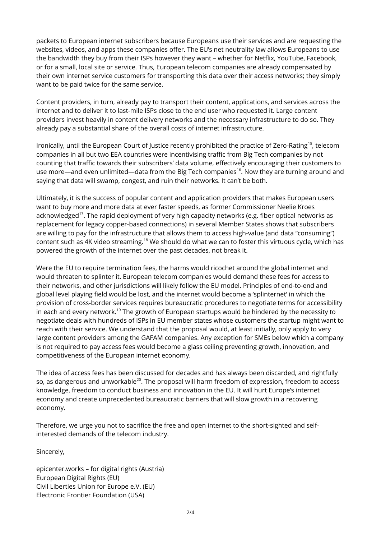packets to European internet subscribers because Europeans use their services and are requesting the websites, videos, and apps these companies offer. The EU's net neutrality law allows Europeans to use the bandwidth they buy from their ISPs however they want – whether for Netflix, YouTube, Facebook, or for a small, local site or service. Thus, European telecom companies are already compensated by their own internet service customers for transporting this data over their access networks; they simply want to be paid twice for the same service.

Content providers, in turn, already pay to transport their content, applications, and services across the internet and to deliver it to last-mile ISPs close to the end user who requested it. Large content providers invest heavily in content delivery networks and the necessary infrastructure to do so. They already pay a substantial share of the overall costs of internet infrastructure.

<span id="page-1-1"></span><span id="page-1-0"></span>Ironically, until the European Court of Justice recently prohibited the practice of Zero-Rating<sup>[15](#page-3-14)</sup>, telecom companies in all but two EEA countries were incentivising traffic from Big Tech companies by not counting that traffic towards their subscribers' data volume, effectively encouraging their customers to use more—and even unlimited—data from the Big Tech companies<sup>[16](#page-3-15)</sup>. Now they are turning around and saying that data will swamp, congest, and ruin their networks. It can't be both.

<span id="page-1-2"></span>Ultimately, it is the success of popular content and application providers that makes European users want to buy more and more data at ever faster speeds, as former Commissioner Neelie Kroes acknowledged<sup>[17](#page-3-16)</sup>. The rapid deployment of very high capacity networks (e.g. fiber optical networks as replacement for legacy copper-based connections) in several Member States shows that subscribers are willing to pay for the infrastructure that allows them to access high-value (and data "consuming") content such as 4K video streaming.<sup>[18](#page-3-17)</sup> We should do what we can to foster this virtuous cycle, which has powered the growth of the internet over the past decades, not break it.

<span id="page-1-4"></span><span id="page-1-3"></span>Were the EU to require termination fees, the harms would ricochet around the global internet and would threaten to splinter it. European telecom companies would demand these fees for access to their networks, and other jurisdictions will likely follow the EU model. Principles of end-to-end and global level playing field would be lost, and the internet would become a 'splinternet' in which the provision of cross-border services requires bureaucratic procedures to negotiate terms for accessibility in each and every network.<sup>[19](#page-3-18)</sup> The growth of European startups would be hindered by the necessity to negotiate deals with hundreds of ISPs in EU member states whose customers the startup might want to reach with their service. We understand that the proposal would, at least initially, only apply to very large content providers among the GAFAM companies. Any exception for SMEs below which a company is not required to pay access fees would become a glass ceiling preventing growth, innovation, and competitiveness of the European internet economy.

<span id="page-1-5"></span>The idea of access fees has been discussed for decades and has always been discarded, and rightfully so, as dangerous and unworkable<sup>[20](#page-3-19)</sup>. The proposal will harm freedom of expression, freedom to access knowledge, freedom to conduct business and innovation in the EU. It will hurt Europe's internet economy and create unprecedented bureaucratic barriers that will slow growth in a recovering economy.

Therefore, we urge you not to sacrifice the free and open internet to the short-sighted and selfinterested demands of the telecom industry.

Sincerely,

epicenter.works – for digital rights (Austria) European Digital Rights (EU) Civil Liberties Union for Europe e.V. (EU) Electronic Frontier Foundation (USA)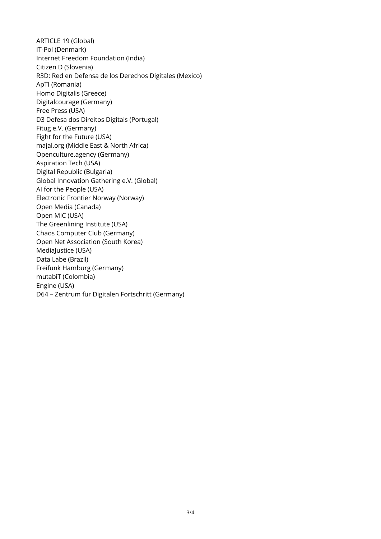ARTICLE 19 (Global) IT-Pol (Denmark) Internet Freedom Foundation (India) Citizen D (Slovenia) R3D: Red en Defensa de los Derechos Digitales (Mexico) ApTI (Romania) Homo Digitalis (Greece) Digitalcourage (Germany) Free Press (USA) D3 Defesa dos Direitos Digitais (Portugal) Fitug e.V. (Germany) Fight for the Future (USA) majal.org (Middle East & North Africa) Openculture.agency (Germany) Aspiration Tech (USA) Digital Republic (Bulgaria) Global Innovation Gathering e.V. (Global) AI for the People (USA) Electronic Frontier Norway (Norway) Open Media (Canada) Open MIC (USA) The Greenlining Institute (USA) Chaos Computer Club (Germany) Open Net Association (South Korea) MediaJustice (USA) Data Labe (Brazil) Freifunk Hamburg (Germany) mutabiT (Colombia) Engine (USA) D64 – Zentrum für Digitalen Fortschritt (Germany)